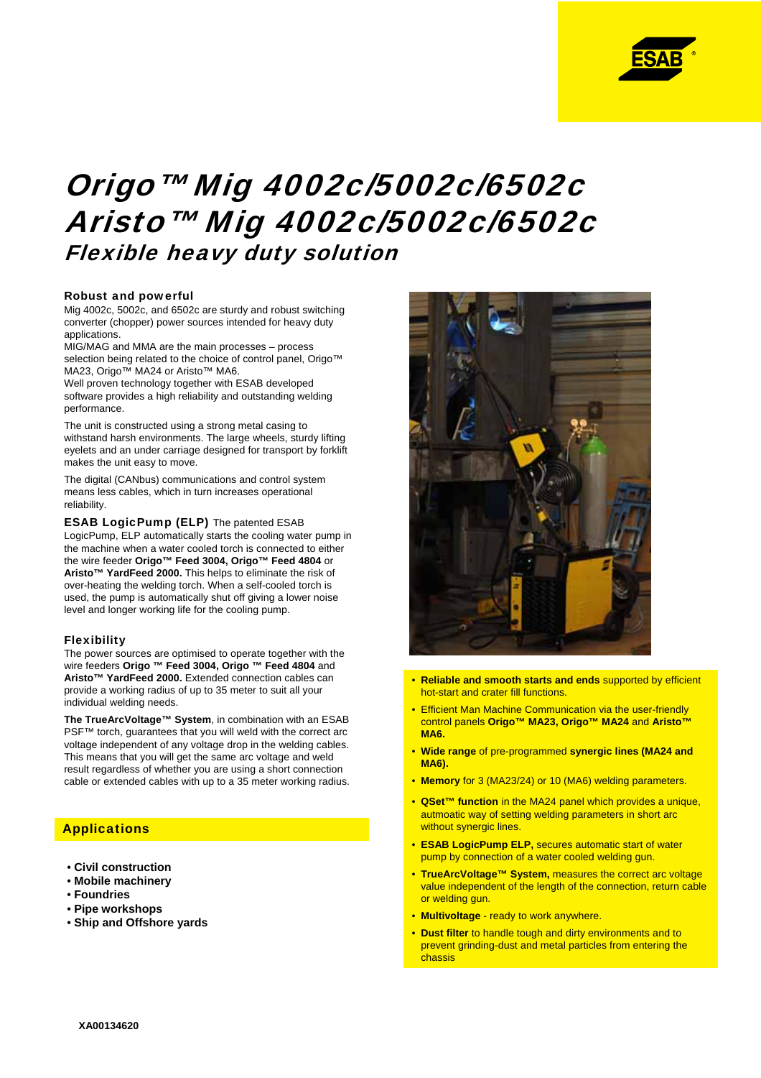

# Origo™ Mig 4002c/5002c/6502c Aristo™ Mig 4002c/5002c/6502c Flexible heavy duty solution

#### Robust and powerful

Mig 4002c, 5002c, and 6502c are sturdy and robust switching converter (chopper) power sources intended for heavy duty applications.

MIG/MAG and MMA are the main processes – process selection being related to the choice of control panel, Origo™ MA23, Origo™ MA24 or Aristo™ MA6.

Well proven technology together with ESAB developed software provides a high reliability and outstanding welding performance.

The unit is constructed using a strong metal casing to withstand harsh environments. The large wheels, sturdy lifting eyelets and an under carriage designed for transport by forklift makes the unit easy to move.

The digital (CANbus) communications and control system means less cables, which in turn increases operational reliability.

ESAB LogicPump (ELP) The patented ESAB LogicPump, ELP automatically starts the cooling water pump in the machine when a water cooled torch is connected to either the wire feeder **Origo™ Feed 3004, Origo™ Feed 4804** or **Aristo™ YardFeed 2000.** This helps to eliminate the risk of over-heating the welding torch. When a self-cooled torch is used, the pump is automatically shut off giving a lower noise level and longer working life for the cooling pump.

### Flexibility

The power sources are optimised to operate together with the wire feeders **Origo ™ Feed 3004, Origo ™ Feed 4804** and **Aristo™ YardFeed 2000.** Extended connection cables can provide a working radius of up to 35 meter to suit all your individual welding needs.

**The TrueArcVoltage™ System**, in combination with an ESAB PSF<sup>™</sup> torch, guarantees that you will weld with the correct arc voltage independent of any voltage drop in the welding cables. This means that you will get the same arc voltage and weld result regardless of whether you are using a short connection cable or extended cables with up to a 35 meter working radius.

# **Applications**

- **Civil construction**
- **Mobile machinery**
- **Foundries**
- **Pipe workshops**
- **Ship and Offshore yards**



- **Reliable and smooth starts and ends** supported by efficient hot-start and crater fill functions.
- Efficient Man Machine Communication via the user-friendly control panels **Origo™ MA23, Origo™ MA24** and **Aristo™ MA6.**
- **Wide range** of pre-programmed **synergic lines (MA24 and MA6).**
- **Memory** for 3 (MA23/24) or 10 (MA6) welding parameters.
- **QSet™ function** in the MA24 panel which provides a unique, autmoatic way of setting welding parameters in short arc without synergic lines.
- **ESAB LogicPump ELP,** secures automatic start of water pump by connection of a water cooled welding gun.
- **TrueArcVoltage™ System,** measures the correct arc voltage value independent of the length of the connection, return cable or welding gun.
- **Multivoltage** ready to work anywhere.
- **Dust filter** to handle tough and dirty environments and to prevent grinding-dust and metal particles from entering the chassis